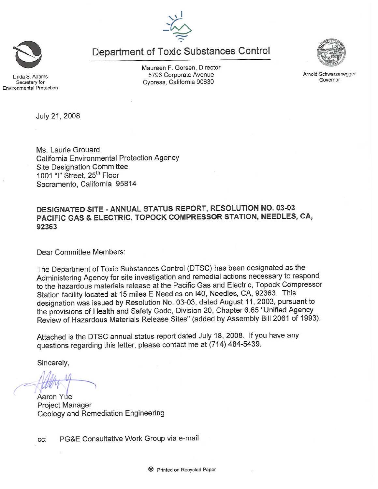

Department of Toxic Substances Control

inda S. Adams Secretary for **Environmental Protection**  Maureen F. Gorsen, Director 5796 Corporate Avenue Cypress, California 90630



Ms. Laurie Grouard California Environmental Protection Agency **Site Designation Committee** 1001 "I" Street, 25<sup>th</sup> Floor Sacramento, California 95814

# DESIGNATED SITE - ANNUAL STATUS REPORT, RESOLUTION NO. 03-03 PACIFIC GAS & ELECTRIC, TOPOCK COMPRESSOR STATION, NEEDLES, CA, 92363

Dear Committee Members:

The Department of Toxic Substances Control (DTSC) has been designated as the Administering Agency for site investigation and remedial actions necessary to respond to the hazardous materials release at the Pacific Gas and Electric, Topock Compressor Station facility located at 15 miles E Needles on I40, Needles, CA, 92363. This designation was issued by Resolution No. 03-03, dated August 11, 2003, pursuant to the provisions of Health and Safety Code, Division 20, Chapter 6.65 "Unified Agency Review of Hazardous Materials Release Sites" (added by Assembly Bill 2061 of 1993).

Attached is the DTSC annual status report dated July 18, 2008. If you have any questions regarding this letter, please contact me at (714) 484-5439.

Sincerely,

Aaron Yue **Project Manager** Geology and Remediation Engineering

PG&E Consultative Work Group via e-mail CC:



Arnold Schwarzenegger Governor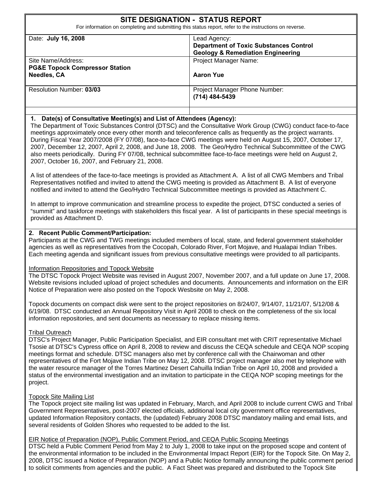# **SITE DESIGNATION - STATUS REPORT**

For information on completing and submitting this status report, refer to the instructions on reverse.

| Date: July 16, 2008                                                                   | Lead Agency:<br><b>Department of Toxic Substances Control</b><br><b>Geology &amp; Remediation Engineering</b> |
|---------------------------------------------------------------------------------------|---------------------------------------------------------------------------------------------------------------|
| Site Name/Address:<br><b>PG&amp;E Topock Compressor Station</b><br><b>Needles, CA</b> | <b>Project Manager Name:</b><br><b>Aaron Yue</b>                                                              |
| Resolution Number: 03/03                                                              | <b>Project Manager Phone Number:</b><br>(714) 484-5439                                                        |

### **1. Date(s) of Consultative Meeting(s) and List of Attendees (Agency):**

The Department of Toxic Substances Control (DTSC) and the Consultative Work Group (CWG) conduct face-to-face meetings approximately once every other month and teleconference calls as frequently as the project warrants. During Fiscal Year 2007/2008 (FY 07/08), face-to-face CWG meetings were held on August 15, 2007, October 17, 2007, December 12, 2007, April 2, 2008, and June 18, 2008. The Geo/Hydro Technical Subcommittee of the CWG also meets periodically. During FY 07/08, technical subcommittee face-to-face meetings were held on August 2, 2007, October 16, 2007, and February 21, 2008.

A list of attendees of the face-to-face meetings is provided as Attachment A. A list of all CWG Members and Tribal Representatives notified and invited to attend the CWG meeting is provided as Attachment B. A list of everyone notified and invited to attend the Geo/Hydro Technical Subcommittee meetings is provided as Attachment C.

In attempt to improve communication and streamline process to expedite the project, DTSC conducted a series of "summit" and taskforce meetings with stakeholders this fiscal year. A list of participants in these special meetings is provided as Attachment D.

### **2. Recent Public Comment/Participation:**

Participants at the CWG and TWG meetings included members of local, state, and federal government stakeholder agencies as well as representatives from the Cocopah, Colorado River, Fort Mojave, and Hualapai Indian Tribes. Each meeting agenda and significant issues from previous consultative meetings were provided to all participants.

#### Information Repositories and Topock Website

The DTSC Topock Project Website was revised in August 2007, November 2007, and a full update on June 17, 2008. Website revisions included upload of project schedules and documents. Announcements and information on the EIR Notice of Preparation were also posted on the Topock Wesbsite on May 2, 2008.

Topock documents on compact disk were sent to the project repositories on 8/24/07, 9/14/07, 11/21/07, 5/12/08 & 6/19/08. DTSC conducted an Annual Repository Visit in April 2008 to check on the completeness of the six local information repositories, and sent documents as necessary to replace missing items.

### Tribal Outreach

DTSC's Project Manager, Public Participation Specialist, and EIR consultant met with CRIT representative Michael Tsosie at DTSC's Cypress office on April 8, 2008 to review and discuss the CEQA schedule and CEQA NOP scoping meetings format and schedule. DTSC managers also met by conference call with the Chairwoman and other representatives of the Fort Mojave Indian Tribe on May 12, 2008. DTSC project manager also met by telephone with the water resource manager of the Torres Martinez Desert Cahuilla Indian Tribe on April 10, 2008 and provided a status of the environmental investigation and an invitation to participate in the CEQA NOP scoping meetings for the project.

#### Topock Site Mailing List

The Topock project site mailing list was updated in February, March, and April 2008 to include current CWG and Tribal Government Representatives, post-2007 elected officials, additional local city government office representatives, updated Information Repository contacts, the (updated) February 2008 DTSC mandatory mailing and email lists, and several residents of Golden Shores who requested to be added to the list.

### EIR Notice of Preparation (NOP), Public Comment Period, and CEQA Public Scoping Meetings

DTSC held a Public Comment Period from May 2 to July 1, 2008 to take input on the proposed scope and content of the environmental information to be included in the Environmental Impact Report (EIR) for the Topock Site. On May 2, 2008, DTSC issued a Notice of Preparation (NOP) and a Public Notice formally announcing the public comment period to solicit comments from agencies and the public. A Fact Sheet was prepared and distributed to the Topock Site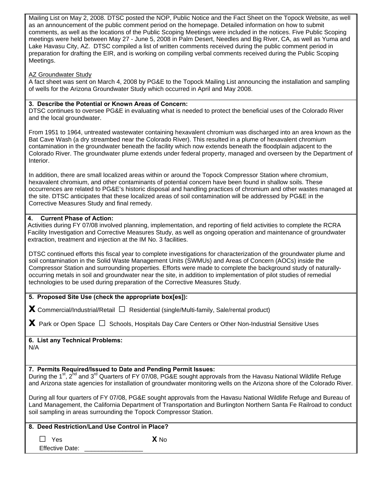| Mailing List on May 2, 2008. DTSC posted the NOP, Public Notice and the Fact Sheet on the Topock Website, as well<br>as an announcement of the public comment period on the homepage. Detailed information on how to submit<br>comments, as well as the locations of the Public Scoping Meetings were included in the notices. Five Public Scoping<br>meetings were held between May 27 - June 5, 2008 in Palm Desert, Needles and Big River, CA, as well as Yuma and<br>Lake Havasu City, AZ. DTSC compiled a list of written comments received during the public comment period in<br>preparation for drafting the EIR, and is working on compiling verbal comments received during the Public Scoping<br>Meetings. |  |  |  |  |  |
|-----------------------------------------------------------------------------------------------------------------------------------------------------------------------------------------------------------------------------------------------------------------------------------------------------------------------------------------------------------------------------------------------------------------------------------------------------------------------------------------------------------------------------------------------------------------------------------------------------------------------------------------------------------------------------------------------------------------------|--|--|--|--|--|
| AZ Groundwater Study<br>A fact sheet was sent on March 4, 2008 by PG&E to the Topock Mailing List announcing the installation and sampling<br>of wells for the Arizona Groundwater Study which occurred in April and May 2008.                                                                                                                                                                                                                                                                                                                                                                                                                                                                                        |  |  |  |  |  |
| 3. Describe the Potential or Known Areas of Concern:<br>DTSC continues to oversee PG&E in evaluating what is needed to protect the beneficial uses of the Colorado River<br>and the local groundwater.                                                                                                                                                                                                                                                                                                                                                                                                                                                                                                                |  |  |  |  |  |
| From 1951 to 1964, untreated wastewater containing hexavalent chromium was discharged into an area known as the<br>Bat Cave Wash (a dry streambed near the Colorado River). This resulted in a plume of hexavalent chromium<br>contamination in the groundwater beneath the facility which now extends beneath the floodplain adjacent to the<br>Colorado River. The groundwater plume extends under federal property, managed and overseen by the Department of<br>Interior.                                                                                                                                                                                                                                         |  |  |  |  |  |
| In addition, there are small localized areas within or around the Topock Compressor Station where chromium,<br>hexavalent chromium, and other contaminants of potential concern have been found in shallow soils. These<br>occurrences are related to PG&E's historic disposal and handling practices of chromium and other wastes managed at<br>the site. DTSC anticipates that these localized areas of soil contamination will be addressed by PG&E in the<br>Corrective Measures Study and final remedy.                                                                                                                                                                                                          |  |  |  |  |  |
| <b>Current Phase of Action:</b><br>4.<br>Activities during FY 07/08 involved planning, implementation, and reporting of field activities to complete the RCRA<br>Facility Investigation and Corrective Measures Study, as well as ongoing operation and maintenance of groundwater<br>extraction, treatment and injection at the IM No. 3 facilities.                                                                                                                                                                                                                                                                                                                                                                 |  |  |  |  |  |
| DTSC continued efforts this fiscal year to complete investigations for characterization of the groundwater plume and<br>soil contamination in the Solid Waste Management Units (SWMUs) and Areas of Concern (AOCs) inside the<br>Compressor Station and surrounding properties. Efforts were made to complete the background study of naturally-<br>occurring metals in soil and groundwater near the site, in addition to implementation of pilot studies of remedial<br>technologies to be used during preparation of the Corrective Measures Study.                                                                                                                                                                |  |  |  |  |  |
| 5. Proposed Site Use (check the appropriate box[es]):                                                                                                                                                                                                                                                                                                                                                                                                                                                                                                                                                                                                                                                                 |  |  |  |  |  |
| <b>X</b> Commercial/Industrial/Retail $\Box$ Residential (single/Multi-family, Sale/rental product)                                                                                                                                                                                                                                                                                                                                                                                                                                                                                                                                                                                                                   |  |  |  |  |  |
| $\blacktriangleright$ Park or Open Space $\Box$ Schools, Hospitals Day Care Centers or Other Non-Industrial Sensitive Uses                                                                                                                                                                                                                                                                                                                                                                                                                                                                                                                                                                                            |  |  |  |  |  |
| 6. List any Technical Problems:<br>N/A                                                                                                                                                                                                                                                                                                                                                                                                                                                                                                                                                                                                                                                                                |  |  |  |  |  |
| 7. Permits Required/Issued to Date and Pending Permit Issues:<br>During the 1 <sup>st</sup> , 2 <sup>nd</sup> and 3 <sup>rd</sup> Quarters of FY 07/08, PG&E sought approvals from the Havasu National Wildlife Refuge<br>and Arizona state agencies for installation of groundwater monitoring wells on the Arizona shore of the Colorado River.                                                                                                                                                                                                                                                                                                                                                                     |  |  |  |  |  |
| During all four quarters of FY 07/08, PG&E sought approvals from the Havasu National Wildlife Refuge and Bureau of<br>Land Management, the California Department of Transportation and Burlington Northern Santa Fe Railroad to conduct<br>soil sampling in areas surrounding the Topock Compressor Station.                                                                                                                                                                                                                                                                                                                                                                                                          |  |  |  |  |  |
| 8. Deed Restriction/Land Use Control in Place?                                                                                                                                                                                                                                                                                                                                                                                                                                                                                                                                                                                                                                                                        |  |  |  |  |  |
| X <sub>No</sub><br>Yes<br><b>Effective Date:</b>                                                                                                                                                                                                                                                                                                                                                                                                                                                                                                                                                                                                                                                                      |  |  |  |  |  |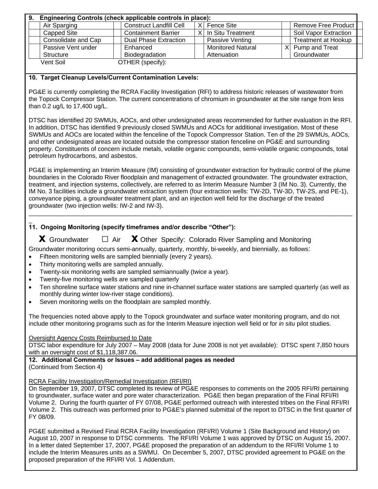| 9. | Engineering Controls (check applicable controls in place): |                                |          |                          |  |                            |  |
|----|------------------------------------------------------------|--------------------------------|----------|--------------------------|--|----------------------------|--|
|    | Air Sparging                                               | <b>Construct Landfill Cell</b> | $\times$ | Fence Site               |  | Remove Free Product        |  |
|    | Capped Site                                                | <b>Containment Barrier</b>     |          | In Situ Treatment        |  | Soil Vapor Extraction      |  |
|    | Consolidate and Cap                                        | Dual Phase Extraction          |          | Passive Venting          |  | <b>Treatment at Hookup</b> |  |
|    | Passive Vent under                                         | Enhanced                       |          | <b>Monitored Natural</b> |  | $X$ Pump and Treat         |  |
|    | Structure                                                  | Biodegradation                 |          | Attenuation              |  | Groundwater                |  |
|    | Vent Soil                                                  | OTHER (specify):               |          |                          |  |                            |  |

### **10. Target Cleanup Levels/Current Contamination Levels:**

PG&E is currently completing the RCRA Facility Investigation (RFI) to address historic releases of wastewater from the Topock Compressor Station. The current concentrations of chromium in groundwater at the site range from less than 0.2 ug/L to 17,400 ug/L.

DTSC has identified 20 SWMUs, AOCs, and other undesignated areas recommended for further evaluation in the RFI. In addition, DTSC has identified 9 previously closed SWMUs and AOCs for additional investigation. Most of these SWMUs and AOCs are located within the fenceline of the Topock Compressor Station. Ten of the 29 SWMUs, AOCs, and other undesignated areas are located outside the compressor station fenceline on PG&E and surrounding property. Constituents of concern include metals, volatile organic compounds, semi-volatile organic compounds, total petroleum hydrocarbons, and asbestos.

PG&E is implementing an Interim Measure (IM) consisting of groundwater extraction for hydraulic control of the plume boundaries in the Colorado River floodplain and management of extracted groundwater. The groundwater extraction, treatment, and injection systems, collectively, are referred to as Interim Measure Number 3 (IM No. 3). Currently, the IM No. 3 facilities include a groundwater extraction system (four extraction wells: TW-2D, TW-3D, TW-2S, and PE-1), conveyance piping, a groundwater treatment plant, and an injection well field for the discharge of the treated groundwater (two injection wells: IW-2 and IW-3).

 $\Box$ 

#### $\overline{a}$ **11. Ongoing Monitoring (specify timeframes and/or describe "Other"):**

 **x** Groundwater **□** Air **x** Other Specify: Colorado River Sampling and Monitoring

Groundwater monitoring occurs semi-annually, quarterly, monthly, bi-weekly, and biennially, as follows:

- Fifteen monitoring wells are sampled biennially (every 2 years).
- Thirty monitoring wells are sampled annually.
- Twenty-six monitoring wells are sampled semiannually (twice a year).
- Twenty-five monitoring wells are sampled quarterly
- Ten shoreline surface water stations and nine in-channel surface water stations are sampled quarterly (as well as monthly during winter low-river stage conditions).
- Seven monitoring wells on the floodplain are sampled monthly.

The frequencies noted above apply to the Topock groundwater and surface water monitoring program, and do not include other monitoring programs such as for the Interim Measure injection well field or for *in situ* pilot studies.

### Oversight Agency Costs Reimbursed to Date

DTSC labor expenditure for July 2007 – May 2008 (data for June 2008 is not yet available): DTSC spent 7,850 hours with an oversight cost of \$1,118,387.06.

**12. Additional Comments or Issues – add additional pages as needed**  (Continued from Section 4)

### RCRA Facility Investigation/Remedial Investigation (RFI/RI)

On September 19, 2007, DTSC completed its review of PG&E responses to comments on the 2005 RFI/RI pertaining to groundwater, surface water and pore water characterization. PG&E then began preparation of the Final RFI/RI Volume 2. During the fourth quarter of FY 07/08, PG&E performed outreach with interested tribes on the Final RFI/RI Volume 2. This outreach was performed prior to PG&E's planned submittal of the report to DTSC in the first quarter of FY 08/09.

PG&E submitted a Revised Final RCRA Facility Investigation (RFI/RI) Volume 1 (Site Background and History) on August 10, 2007 in response to DTSC comments. The RFI/RI Volume 1 was approved by DTSC on August 15, 2007. In a letter dated September 17, 2007, PG&E proposed the preparation of an addendum to the RFI/RI Volume 1 to include the Interim Measures units as a SWMU. On December 5, 2007, DTSC provided agreement to PG&E on the proposed preparation of the RFI/RI Vol. 1 Addendum.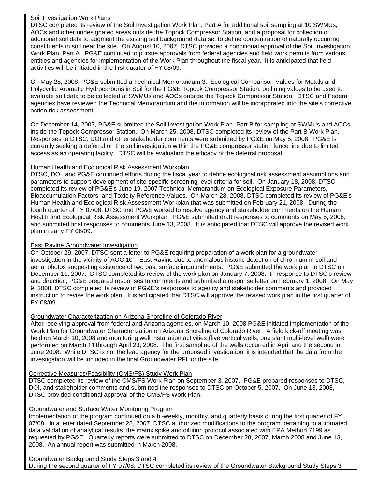#### Soil Investigation Work Plans

DTSC completed its review of the Soil Investigation Work Plan, Part A for additional soil sampling at 10 SWMUs, AOCs and other undesignated areas outside the Topock Compressor Station, and a proposal for collection of additional soil data to augment the existing soil background data set to define concentration of naturally occurring constituents in soil near the site. On August 10, 2007, DTSC provided a conditional approval of the Soil Investigation Work Plan, Part A. PG&E continued to pursue approvals from federal agencies and field work permits from various entities and agencies for implementation of the Work Plan throughout the fiscal year. It is anticipated that field activities will be initiated in the first quarter of FY 08/09.

On May 28, 2008, PG&E submitted a Technical Memorandum 3: Ecological Comparison Values for Metals and Polycyclic Aromatic Hydrocarbons in Soil for the PG&E Topock Compressor Station, outlining values to be used to evaluate soil data to be collected at SWMUs and AOCs outside the Topock Compressor Station. DTSC and Federal agencies have reviewed the Technical Memorandum and the information will be incorporated into the site's corrective action risk assessment.

On December 14, 2007, PG&E submitted the Soil Investigation Work Plan, Part B for sampling at SWMUs and AOCs inside the Topock Compressor Station. On March 25, 2008, DTSC completed its review of the Part B Work Plan. Responses to DTSC, DOI and other stakeholder comments were submitted by PG&E on May 5, 2008. PG&E is currently seeking a deferral on the soil investigation within the PG&E compressor station fence line due to limited access as an operating facility. DTSC will be evaluating the efficacy of the deferral proposal.

### Human Health and Ecological Risk Assessment Workplan

DTSC, DOI, and PG&E continued efforts during the fiscal year to define ecological risk assessment assumptions and parameters to support development of site-specific screening level criteria for soil. On January 18, 2008, DTSC completed its review of PG&E's June 19, 2007 Technical Memorandum on Ecological Exposure Parameters, Bioaccumulation Factors, and Toxicity Reference Values. On March 28, 2008, DTSC completed its review of PG&E's Human Health and Ecological Risk Assessment Workplan that was submitted on February 21, 2008. During the fourth quarter of FY 07/08, DTSC and PG&E worked to resolve agency and stakeholder comments on the Human Health and Ecological Risk Assessment Workplan. PG&E submitted draft responses to comments on May 5, 2008, and submitted final responses to comments June 13, 2008. It is anticipated that DTSC will approve the revised work plan in early FY 08/09.

### East Ravine Groundwater Investigation

On October 29, 2007, DTSC sent a letter to PG&E requiring preparation of a work plan for a groundwater investigation in the vicinity of AOC 10 – East Ravine due to anomalous historic detection of chromium in soil and aerial photos suggesting existence of two past surface impoundments. PG&E submitted the work plan to DTSC on December 11, 2007. DTSC completed its review of the work plan on January 7, 2008. In response to DTSC's review and direction, PG&E prepared responses to comments and submitted a response letter on February 1, 2008. On May 9, 2008, DTSC completed its review of PG&E's responses to agency and stakeholder comments and provided instruction to revise the work plan. It is anticipated that DTSC will approve the revised work plan in the first quarter of FY 08/09.

## Groundwater Characterization on Arizona Shoreline of Colorado River

After receiving approval from federal and Arizona agencies, on March 10, 2008 PG&E initiated implementation of the Work Plan for Groundwater Characterization on Arizona Shoreline of Colorado River. A field kick-off meeting was held on March 10, 2008 and monitoring well installation activities (five vertical wells, one slant multi-level well) were performed on March 11 through April 23, 2008. The first sampling of the wells occurred in April and the second in June 2008. While DTSC is not the lead agency for the proposed investigation, it is intended that the data from the investigation will be included in the final Groundwater RFI for the site.

### Corrective Measures/Feasibility (CMS/FS) Study Work Plan

DTSC completed its review of the CMS/FS Work Plan on September 3, 2007. PG&E prepared responses to DTSC, DOI, and stakeholder comments and submitted the responses to DTSC on October 5, 2007. On June 13, 2008, DTSC provided conditional approval of the CMS/FS Work Plan.

## Groundwater and Surface Water Monitoring Program

Implementation of the program continued on a bi-weekly, monthly, and quarterly basis during the first quarter of FY 07/08. In a letter dated September 28, 2007, DTSC authorized modifications to the program pertaining to automated data validation of analytical results, the matrix spike and dilution protocol associated with EPA Method 7199 as requested by PG&E. Quarterly reports were submitted to DTSC on December 28, 2007, March 2008 and June 13, 2008. An annual report was submitted in March 2008.

#### Groundwater Background Study Steps 3 and 4 During the second quarter of FY 07/08, DTSC completed its review of the Groundwater Background Study Steps 3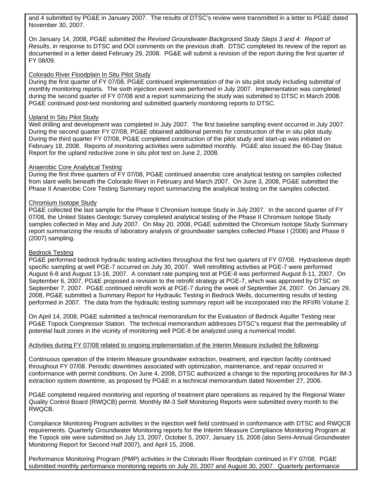and 4 submitted by PG&E in January 2007. The results of DTSC's review were transmitted in a letter to PG&E dated November 30, 2007.

On January 14, 2008, PG&E submitted the *Revised Groundwater Background Study Steps 3 and 4: Report of Results*, in response to DTSC and DOI comments on the previous draft. DTSC completed its review of the report as documented in a letter dated February 29, 2008. PG&E will submit a revision of the report during the first quarter of FY 08/09.

### Colorado River Floodplain In Situ Pilot Study

During the first quarter of FY 07/08, PG&E continued implementation of the in situ pilot study including submittal of monthly monitoring reports. The sixth injection event was performed in July 2007. Implementation was completed during the second quarter of FY 07/08 and a report summarizing the study was submitted to DTSC in March 2008. PG&E continued post-test monitoring and submitted quarterly monitoring reports to DTSC.

#### Upland In Situ Pilot Study

Well drilling and development was completed in July 2007. The first baseline sampling event occurred in July 2007. During the second quarter FY 07/08, PG&E obtained additional permits for construction of the in situ pilot study. During the third quarter FY 07/08, PG&E completed construction of the pilot study and start-up was initiated on February 18, 2008. Reports of monitoring activities were submitted monthly. PG&E also issued the 60-Day Status Report for the upland reductive zone in situ pilot test on June 2, 2008.

### Anaerobic Core Analytical Testing

During the first three quarters of FY 07/08, PG&E continued anaerobic core analytical testing on samples collected from slant wells beneath the Colorado River in February and March 2007. On June 3, 2008, PG&E submitted the Phase II Anaerobic Core Testing Summary report summarizing the analytical testing on the samples collected.

### Chromium Isotope Study

PG&E collected the last sample for the Phase II Chromium Isotope Study in July 2007. In the second quarter of FY 07/08, the United States Geologic Survey completed analytical testing of the Phase II Chromium Isotope Study samples collected in May and July 2007. On May 20, 2008, PG&E submitted the Chromium Isotope Study Summary report summarizing the results of laboratory analysis of groundwater samples collected Phase I (2006) and Phase II (2007) sampling.

#### Bedrock Testing

PG&E performed bedrock hydraulic testing activities throughout the first two quarters of FY 07/08. Hydrasleeve depth specific sampling at well PGE-7 occurred on July 30, 2007. Well retrofitting activities at PGE-7 were performed August 6-8 and August 13-16, 2007. A constant rate pumping test at PGE-8 was performed August 8-11, 2007. On September 6, 2007, PG&E proposed a revision to the retrofit strategy at PGE-7, which was approved by DTSC on September 7, 2007. PG&E continued retrofit work at PGE-7 during the week of September 24, 2007. On January 29, 2008, PG&E submitted a Summary Report for Hydraulic Testing in Bedrock Wells, documenting results of testing performed in 2007. The data from the hydraulic testing summary report will be incorporated into the RFI/RI Volume 2.

On April 14, 2008, PG&E submitted a technical memorandum for the Evaluation of Bedrock Aquifer Testing near PG&E Topock Compressor Station. The technical memorandum addresses DTSC's request that the permeability of potential fault zones in the vicinity of monitoring well PGE-8 be analyzed using a numerical model.

#### Activities during FY 07/08 related to ongoing implementation of the Interim Measure included the following:

Continuous operation of the Interim Measure groundwater extraction, treatment, and injection facility continued throughout FY 07/08. Periodic downtimes associated with optimization, maintenance, and repair occurred in conformance with permit conditions. On June 4, 2008, DTSC authorized a change to the reporting procedures for IM-3 extraction system downtime, as proposed by PG&E in a technical memorandum dated November 27, 2006.

PG&E completed required monitoring and reporting of treatment plant operations as required by the Regional Water Quality Control Board (RWQCB) permit. Monthly IM-3 Self Monitoring Reports were submitted every month to the RWQCB.

Compliance Monitoring Program activities in the injection well field continued in conformance with DTSC and RWQCB requirements. Quarterly Groundwater Monitoring reports for the Interim Measure Compliance Monitoring Program at the Topock site were submitted on July 13, 2007, October 5, 2007, January 15, 2008 (also Semi-Annual Groundwater Monitoring Report for Second Half 2007), and April 15, 2008.

Performance Monitoring Program (PMP) activities in the Colorado River floodplain continued in FY 07/08. PG&E submitted monthly performance monitoring reports on July 20, 2007 and August 30, 2007. Quarterly performance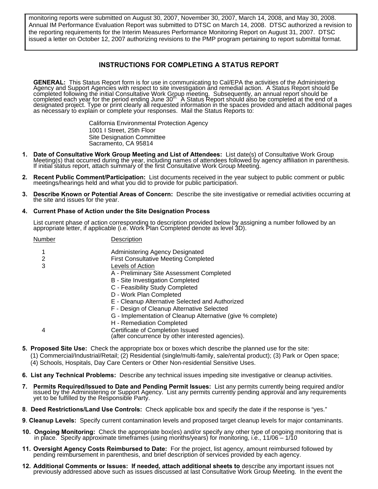monitoring reports were submitted on August 30, 2007, November 30, 2007, March 14, 2008, and May 30, 2008. Annual IM Performance Evaluation Report was submitted to DTSC on March 14, 2008. DTSC authorized a revision to the reporting requirements for the Interim Measures Performance Monitoring Report on August 31, 2007. DTSC issued a letter on October 12, 2007 authorizing revisions to the PMP program pertaining to report submittal format.

### **INSTRUCTIONS FOR COMPLETING A STATUS REPORT**

**GENERAL:** This Status Report form is for use in communicating to Cal/EPA the activities of the Administering<br>Agency and Support Agencies with respect to site investigation and remedial action. A Status Report should be compléted following the initial Consultative Work Group meeting. Subsequently, an annual report should be<br>completed each year for the period ending June 30" A Status Report should also be completed at the end of a<br>designat

> California Environmental Protection Agency 1001 I Street, 25th Floor Site Designation Committee Sacramento, CA 95814

- 1. Date of Consultative Work Group Meeting and List of Attendees: List date(s) of Consultative Work Group<br>Meeting(s) that occurred during the year, including names of attendees followed by agency affiliation in parenthesis
- **2. Recent Public Comment/Participation:** List documents received in the year subject to public comment or public meetings/hearings held and what you did to provide for public participation.
- **3. Describe Known or Potential Areas of Concern:** Describe the site investigative or remedial activities occurring at the site and issues for the year.

#### **4. Current Phase of Action under the Site Designation Process**

List current phase of action corresponding to description provided below by assigning a number followed by an appropriate letter, if applicable (i.e. Work Plan Completed denote as level 3D).

| Number | Description                                                                           |
|--------|---------------------------------------------------------------------------------------|
| 1      | Administering Agency Designated                                                       |
| 2      | <b>First Consultative Meeting Completed</b>                                           |
| 3      | Levels of Action                                                                      |
|        | A - Preliminary Site Assessment Completed                                             |
|        | B - Site Investigation Completed                                                      |
|        | C - Feasibility Study Completed                                                       |
|        | D - Work Plan Completed                                                               |
|        | E - Cleanup Alternative Selected and Authorized                                       |
|        | F - Design of Cleanup Alternative Selected                                            |
|        | G - Implementation of Cleanup Alternative (give % complete)                           |
|        | H - Remediation Completed                                                             |
| 4      | Certificate of Completion Issued<br>(after concurrence by other interested agencies). |
|        |                                                                                       |

- **5. Proposed Site Use:** Check the appropriate box or boxes which describe the planned use for the site:
	- (1) Commercial/Industrial/Retail; (2) Residential (single/multi-family, sale/rental product); (3) Park or Open space;
		- (4) Schools, Hospitals, Day Care Centers or Other Non-residential Sensitive Uses.
- **6. List any Technical Problems:** Describe any technical issues impeding site investigative or cleanup activities.
- 7. Permits Required/Issued to Date and Pending Permit Issues: List any permits currently being required and/or issued by the Administering or Support Agency. List any permits currently pending approval and any requirements
- **8**. **Deed Restrictions/Land Use Controls:** Check applicable box and specify the date if the response is "yes."
- **9**. **Cleanup Levels:** Specify current contamination levels and proposed target cleanup levels for major contaminants.
- **10. Ongoing Monitoring:** Check the appropriate box(es) and/or specify any other type of ongoing monitoring that is<br>in place. Specify approximate timeframes (using months/years) for monitoring, i.e., 11/06 1/10
- **11. Oversight Agency Costs Reimbursed to Date:** For the project, list agency, amount reimbursed followed by pending reimbursement in parenthesis, and brief description of services provided by each agency.
- **12. Additional Comments or Issues: If needed, attach additional sheets to** describe any important issues not previously addressed above such as issues discussed at last Consultative Work Group Meeting. In the event the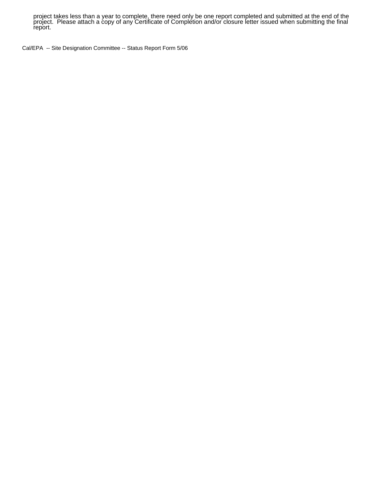project takes less than a year to complete, there need only be one report completed and submitted at the end of the<br>project. Please attach a copy of any Certificate of Completion and/or closure letter issued when submittin report.

Cal/EPA -- Site Designation Committee -- Status Report Form 5/06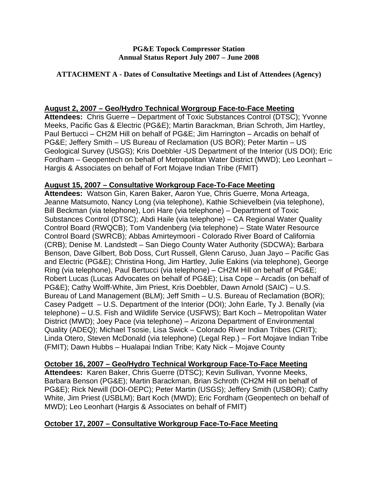## **ATTACHMENT A - Dates of Consultative Meetings and List of Attendees (Agency)**

## **August 2, 2007 – Geo/Hydro Technical Worgroup Face-to-Face Meeting**

**Attendees:** Chris Guerre – Department of Toxic Substances Control (DTSC); Yvonne Meeks, Pacific Gas & Electric (PG&E); Martin Barackman, Brian Schroth, Jim Hartley, Paul Bertucci – CH2M Hill on behalf of PG&E; Jim Harrington – Arcadis on behalf of PG&E; Jeffery Smith – US Bureau of Reclamation (US BOR); Peter Martin – US Geological Survey (USGS); Kris Doebbler -US Department of the Interior (US DOI); Eric Fordham – Geopentech on behalf of Metropolitan Water District (MWD); Leo Leonhart – Hargis & Associates on behalf of Fort Mojave Indian Tribe (FMIT)

# **August 15, 2007 – Consultative Workgroup Face-To-Face Meeting**

**Attendees:** Watson Gin, Karen Baker, Aaron Yue, Chris Guerre, Mona Arteaga, Jeanne Matsumoto, Nancy Long (via telephone), Kathie Schievelbein (via telephone), Bill Beckman (via telephone), Lori Hare (via telephone) – Department of Toxic Substances Control (DTSC); Abdi Haile (via telephone) – CA Regional Water Quality Control Board (RWQCB); Tom Vandenberg (via telephone) – State Water Resource Control Board (SWRCB); Abbas Amirteymoori - Colorado River Board of California (CRB); Denise M. Landstedt – San Diego County Water Authority (SDCWA); Barbara Benson, Dave Gilbert, Bob Doss, Curt Russell, Glenn Caruso, Juan Jayo – Pacific Gas and Electric (PG&E); Christina Hong, Jim Hartley, Julie Eakins (via telephone), George Ring (via telephone), Paul Bertucci (via telephone) – CH2M Hill on behalf of PG&E; Robert Lucas (Lucas Advocates on behalf of PG&E); Lisa Cope – Arcadis (on behalf of PG&E); Cathy Wolff-White, Jim Priest, Kris Doebbler, Dawn Arnold (SAIC) – U.S. Bureau of Land Management (BLM); Jeff Smith – U.S. Bureau of Reclamation (BOR); Casey Padgett – U.S. Department of the Interior (DOI); John Earle, Ty J. Benally (via telephone) – U.S. Fish and Wildlife Service (USFWS); Bart Koch – Metropolitan Water District (MWD); Joey Pace (via telephone) – Arizona Department of Environmental Quality (ADEQ); Michael Tsosie, Lisa Swick – Colorado River Indian Tribes (CRIT); Linda Otero, Steven McDonald (via telephone) (Legal Rep.) – Fort Mojave Indian Tribe (FMIT); Dawn Hubbs – Hualapai Indian Tribe; Katy Nick – Mojave County

## **October 16, 2007 – Geo/Hydro Technical Workgroup Face-To-Face Meeting**

**Attendees:** Karen Baker, Chris Guerre (DTSC); Kevin Sullivan, Yvonne Meeks, Barbara Benson (PG&E); Martin Barackman, Brian Schroth (CH2M Hill on behalf of PG&E); Rick Newill (DOI-OEPC); Peter Martin (USGS); Jeffery Smith (USBOR); Cathy White, Jim Priest (USBLM); Bart Koch (MWD); Eric Fordham (Geopentech on behalf of MWD); Leo Leonhart (Hargis & Associates on behalf of FMIT)

# **October 17, 2007 – Consultative Workgroup Face-To-Face Meeting**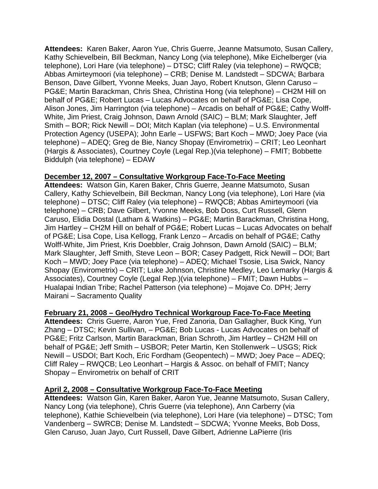**Attendees:** Karen Baker, Aaron Yue, Chris Guerre, Jeanne Matsumoto, Susan Callery, Kathy Schievelbein, Bill Beckman, Nancy Long (via telephone), Mike Eichelberger (via telephone), Lori Hare (via telephone) – DTSC; Cliff Raley (via telephone) – RWQCB; Abbas Amirteymoori (via telephone) – CRB; Denise M. Landstedt – SDCWA; Barbara Benson, Dave Gilbert, Yvonne Meeks, Juan Jayo, Robert Knutson, Glenn Caruso – PG&E; Martin Barackman, Chris Shea, Christina Hong (via telephone) – CH2M Hill on behalf of PG&E; Robert Lucas – Lucas Advocates on behalf of PG&E; Lisa Cope, Alison Jones, Jim Harrington (via telephone) – Arcadis on behalf of PG&E; Cathy Wolff-White, Jim Priest, Craig Johnson, Dawn Arnold (SAIC) – BLM; Mark Slaughter, Jeff Smith – BOR; Rick Newill – DOI; Mitch Kaplan (via telephone) – U.S. Environmental Protection Agency (USEPA); John Earle – USFWS; Bart Koch – MWD; Joey Pace (via telephone) – ADEQ; Greg de Bie, Nancy Shopay (Envirometrix) – CRIT; Leo Leonhart (Hargis & Associates), Courtney Coyle (Legal Rep.)(via telephone) – FMIT; Bobbette Biddulph (via telephone) – EDAW

# **December 12, 2007 – Consultative Workgroup Face-To-Face Meeting**

**Attendees:** Watson Gin, Karen Baker, Chris Guerre, Jeanne Matsumoto, Susan Callery, Kathy Schievelbein, Bill Beckman, Nancy Long (via telephone), Lori Hare (via telephone) – DTSC; Cliff Raley (via telephone) – RWQCB; Abbas Amirteymoori (via telephone) – CRB; Dave Gilbert, Yvonne Meeks, Bob Doss, Curt Russell, Glenn Caruso, Elidia Dostal (Latham & Watkins) – PG&E; Martin Barackman, Christina Hong, Jim Hartley – CH2M Hill on behalf of PG&E; Robert Lucas – Lucas Advocates on behalf of PG&E; Lisa Cope, Lisa Kellogg, Frank Lenzo – Arcadis on behalf of PG&E; Cathy Wolff-White, Jim Priest, Kris Doebbler, Craig Johnson, Dawn Arnold (SAIC) – BLM; Mark Slaughter, Jeff Smith, Steve Leon – BOR; Casey Padgett, Rick Newill – DOI; Bart Koch – MWD; Joey Pace (via telephone) – ADEQ; Michael Tsosie, Lisa Swick, Nancy Shopay (Envirometrix) – CRIT; Luke Johnson, Christine Medley, Leo Lemarky (Hargis & Associates), Courtney Coyle (Legal Rep.)(via telephone) – FMIT; Dawn Hubbs – Hualapai Indian Tribe; Rachel Patterson (via telephone) – Mojave Co. DPH; Jerry Mairani – Sacramento Quality

# **February 21, 2008 – Geo/Hydro Technical Workgroup Face-To-Face Meeting**

**Attendees:** Chris Guerre, Aaron Yue, Fred Zanoria, Dan Gallagher, Buck King, Yun Zhang – DTSC; Kevin Sullivan, – PG&E; Bob Lucas - Lucas Advocates on behalf of PG&E; Fritz Carlson, Martin Barackman, Brian Schroth, Jim Hartley – CH2M Hill on behalf of PG&E; Jeff Smith – USBOR; Peter Martin, Ken Stollenwerk – USGS; Rick Newill – USDOI; Bart Koch, Eric Fordham (Geopentech) – MWD; Joey Pace – ADEQ; Cliff Raley – RWQCB; Leo Leonhart – Hargis & Assoc. on behalf of FMIT; Nancy Shopay – Envirometrix on behalf of CRIT

# **April 2, 2008 – Consultative Workgroup Face-To-Face Meeting**

**Attendees:** Watson Gin, Karen Baker, Aaron Yue, Jeanne Matsumoto, Susan Callery, Nancy Long (via telephone), Chris Guerre (via telephone), Ann Carberry (via telephone), Kathie Schievelbein (via telephone), Lori Hare (via telephone) – DTSC; Tom Vandenberg – SWRCB; Denise M. Landstedt – SDCWA; Yvonne Meeks, Bob Doss, Glen Caruso, Juan Jayo, Curt Russell, Dave Gilbert, Adrienne LaPierre (Iris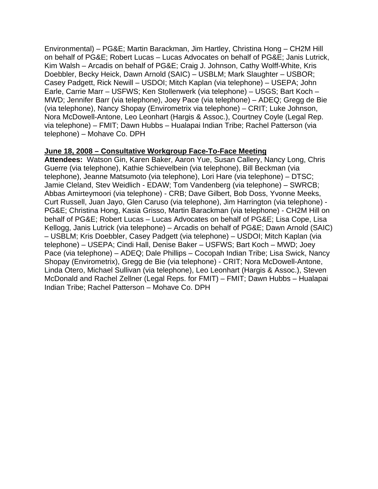Environmental) – PG&E; Martin Barackman, Jim Hartley, Christina Hong – CH2M Hill on behalf of PG&E; Robert Lucas – Lucas Advocates on behalf of PG&E; Janis Lutrick, Kim Walsh – Arcadis on behalf of PG&E; Craig J. Johnson, Cathy Wolff-White, Kris Doebbler, Becky Heick, Dawn Arnold (SAIC) – USBLM; Mark Slaughter – USBOR; Casey Padgett, Rick Newill – USDOI; Mitch Kaplan (via telephone) – USEPA; John Earle, Carrie Marr – USFWS; Ken Stollenwerk (via telephone) – USGS; Bart Koch – MWD; Jennifer Barr (via telephone), Joey Pace (via telephone) – ADEQ; Gregg de Bie (via telephone), Nancy Shopay (Envirometrix via telephone) – CRIT; Luke Johnson, Nora McDowell-Antone, Leo Leonhart (Hargis & Assoc.), Courtney Coyle (Legal Rep. via telephone) – FMIT; Dawn Hubbs – Hualapai Indian Tribe; Rachel Patterson (via telephone) – Mohave Co. DPH

## **June 18, 2008 – Consultative Workgroup Face-To-Face Meeting**

**Attendees:** Watson Gin, Karen Baker, Aaron Yue, Susan Callery, Nancy Long, Chris Guerre (via telephone), Kathie Schievelbein (via telephone), Bill Beckman (via telephone), Jeanne Matsumoto (via telephone), Lori Hare (via telephone) – DTSC; Jamie Cleland, Stev Weidlich - EDAW; Tom Vandenberg (via telephone) – SWRCB; Abbas Amirteymoori (via telephone) - CRB; Dave Gilbert, Bob Doss, Yvonne Meeks, Curt Russell, Juan Jayo, Glen Caruso (via telephone), Jim Harrington (via telephone) - PG&E; Christina Hong, Kasia Grisso, Martin Barackman (via telephone) - CH2M Hill on behalf of PG&E; Robert Lucas – Lucas Advocates on behalf of PG&E; Lisa Cope, Lisa Kellogg, Janis Lutrick (via telephone) – Arcadis on behalf of PG&E; Dawn Arnold (SAIC) – USBLM; Kris Doebbler, Casey Padgett (via telephone) – USDOI; Mitch Kaplan (via telephone) – USEPA; Cindi Hall, Denise Baker – USFWS; Bart Koch – MWD; Joey Pace (via telephone) – ADEQ; Dale Phillips – Cocopah Indian Tribe; Lisa Swick, Nancy Shopay (Envirometrix), Gregg de Bie (via telephone) - CRIT; Nora McDowell-Antone, Linda Otero, Michael Sullivan (via telephone), Leo Leonhart (Hargis & Assoc.), Steven McDonald and Rachel Zellner (Legal Reps. for FMIT) – FMIT; Dawn Hubbs – Hualapai Indian Tribe; Rachel Patterson – Mohave Co. DPH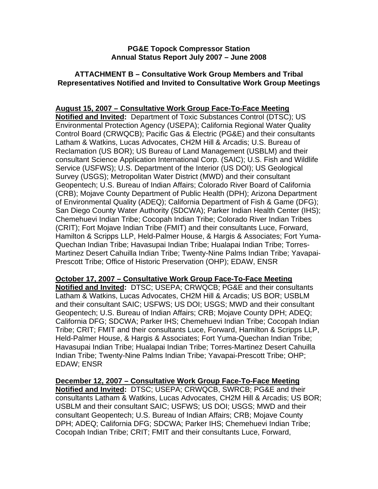# **ATTACHMENT B – Consultative Work Group Members and Tribal Representatives Notified and Invited to Consultative Work Group Meetings**

# **August 15, 2007 – Consultative Work Group Face-To-Face Meeting**

**Notified and Invited:** Department of Toxic Substances Control (DTSC); US Environmental Protection Agency (USEPA); California Regional Water Quality Control Board (CRWQCB); Pacific Gas & Electric (PG&E) and their consultants Latham & Watkins, Lucas Advocates, CH2M Hill & Arcadis; U.S. Bureau of Reclamation (US BOR); US Bureau of Land Management (USBLM) and their consultant Science Application International Corp. (SAIC); U.S. Fish and Wildlife Service (USFWS); U.S. Department of the Interior (US DOI); US Geological Survey (USGS); Metropolitan Water District (MWD) and their consultant Geopentech; U.S. Bureau of Indian Affairs; Colorado River Board of California (CRB); Mojave County Department of Public Health (DPH); Arizona Department of Environmental Quality (ADEQ); California Department of Fish & Game (DFG); San Diego County Water Authority (SDCWA); Parker Indian Health Center (IHS); Chemehuevi Indian Tribe; Cocopah Indian Tribe; Colorado River Indian Tribes (CRIT); Fort Mojave Indian Tribe (FMIT) and their consultants Luce, Forward, Hamilton & Scripps LLP, Held-Palmer House, & Hargis & Associates; Fort Yuma-Quechan Indian Tribe; Havasupai Indian Tribe; Hualapai Indian Tribe; Torres-Martinez Desert Cahuilla Indian Tribe; Twenty-Nine Palms Indian Tribe; Yavapai-Prescott Tribe; Office of Historic Preservation (OHP); EDAW, ENSR

**October 17, 2007 – Consultative Work Group Face-To-Face Meeting**

**Notified and Invited:** DTSC; USEPA; CRWQCB; PG&E and their consultants Latham & Watkins, Lucas Advocates, CH2M Hill & Arcadis; US BOR; USBLM and their consultant SAIC; USFWS; US DOI; USGS; MWD and their consultant Geopentech; U.S. Bureau of Indian Affairs; CRB; Mojave County DPH; ADEQ; California DFG; SDCWA; Parker IHS; Chemehuevi Indian Tribe; Cocopah Indian Tribe; CRIT; FMIT and their consultants Luce, Forward, Hamilton & Scripps LLP, Held-Palmer House, & Hargis & Associates; Fort Yuma-Quechan Indian Tribe; Havasupai Indian Tribe; Hualapai Indian Tribe; Torres-Martinez Desert Cahuilla Indian Tribe; Twenty-Nine Palms Indian Tribe; Yavapai-Prescott Tribe; OHP; EDAW; ENSR

**December 12, 2007 – Consultative Work Group Face-To-Face Meeting Notified and Invited:** DTSC; USEPA; CRWQCB, SWRCB; PG&E and their consultants Latham & Watkins, Lucas Advocates, CH2M Hill & Arcadis; US BOR; USBLM and their consultant SAIC; USFWS; US DOI; USGS; MWD and their consultant Geopentech; U.S. Bureau of Indian Affairs; CRB; Mojave County DPH; ADEQ; California DFG; SDCWA; Parker IHS; Chemehuevi Indian Tribe; Cocopah Indian Tribe; CRIT; FMIT and their consultants Luce, Forward,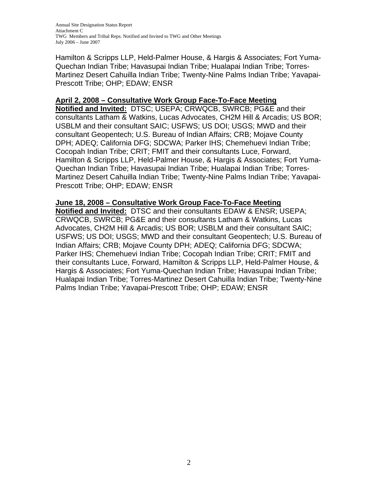Annual Site Designation Status Report Attachment C TWG Members and Tribal Reps. Notified and Invited to TWG and Other Meetings July 2006 – June 2007

Hamilton & Scripps LLP, Held-Palmer House, & Hargis & Associates; Fort Yuma-Quechan Indian Tribe; Havasupai Indian Tribe; Hualapai Indian Tribe; Torres-Martinez Desert Cahuilla Indian Tribe; Twenty-Nine Palms Indian Tribe; Yavapai-Prescott Tribe; OHP; EDAW; ENSR

## **April 2, 2008 – Consultative Work Group Face-To-Face Meeting**

**Notified and Invited:** DTSC; USEPA; CRWQCB, SWRCB; PG&E and their consultants Latham & Watkins, Lucas Advocates, CH2M Hill & Arcadis; US BOR; USBLM and their consultant SAIC; USFWS; US DOI; USGS; MWD and their consultant Geopentech; U.S. Bureau of Indian Affairs; CRB; Mojave County DPH; ADEQ; California DFG; SDCWA; Parker IHS; Chemehuevi Indian Tribe; Cocopah Indian Tribe; CRIT; FMIT and their consultants Luce, Forward, Hamilton & Scripps LLP, Held-Palmer House, & Hargis & Associates; Fort Yuma-Quechan Indian Tribe; Havasupai Indian Tribe; Hualapai Indian Tribe; Torres-Martinez Desert Cahuilla Indian Tribe; Twenty-Nine Palms Indian Tribe; Yavapai-Prescott Tribe; OHP; EDAW; ENSR

## **June 18, 2008 – Consultative Work Group Face-To-Face Meeting**

**Notified and Invited:** DTSC and their consultants EDAW & ENSR; USEPA; CRWQCB, SWRCB; PG&E and their consultants Latham & Watkins, Lucas Advocates, CH2M Hill & Arcadis; US BOR; USBLM and their consultant SAIC; USFWS; US DOI; USGS; MWD and their consultant Geopentech; U.S. Bureau of Indian Affairs; CRB; Mojave County DPH; ADEQ; California DFG; SDCWA; Parker IHS; Chemehuevi Indian Tribe; Cocopah Indian Tribe; CRIT; FMIT and their consultants Luce, Forward, Hamilton & Scripps LLP, Held-Palmer House, & Hargis & Associates; Fort Yuma-Quechan Indian Tribe; Havasupai Indian Tribe; Hualapai Indian Tribe; Torres-Martinez Desert Cahuilla Indian Tribe; Twenty-Nine Palms Indian Tribe; Yavapai-Prescott Tribe; OHP; EDAW; ENSR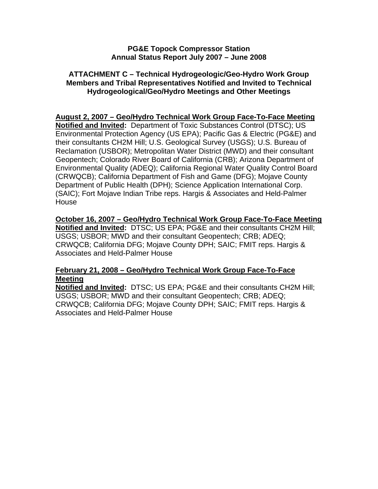# **ATTACHMENT C – Technical Hydrogeologic/Geo-Hydro Work Group Members and Tribal Representatives Notified and Invited to Technical Hydrogeological/Geo/Hydro Meetings and Other Meetings**

# **August 2, 2007 – Geo/Hydro Technical Work Group Face-To-Face Meeting**

**Notified and Invited:** Department of Toxic Substances Control (DTSC); US Environmental Protection Agency (US EPA); Pacific Gas & Electric (PG&E) and their consultants CH2M Hill; U.S. Geological Survey (USGS); U.S. Bureau of Reclamation (USBOR); Metropolitan Water District (MWD) and their consultant Geopentech; Colorado River Board of California (CRB); Arizona Department of Environmental Quality (ADEQ); California Regional Water Quality Control Board (CRWQCB); California Department of Fish and Game (DFG); Mojave County Department of Public Health (DPH); Science Application International Corp. (SAIC); Fort Mojave Indian Tribe reps. Hargis & Associates and Held-Palmer House

## **October 16, 2007 – Geo/Hydro Technical Work Group Face-To-Face Meeting Notified and Invited:** DTSC; US EPA; PG&E and their consultants CH2M Hill; USGS; USBOR; MWD and their consultant Geopentech; CRB; ADEQ; CRWQCB; California DFG; Mojave County DPH; SAIC; FMIT reps. Hargis & Associates and Held-Palmer House

# **February 21, 2008 – Geo/Hydro Technical Work Group Face-To-Face Meeting**

**Notified and Invited:** DTSC; US EPA; PG&E and their consultants CH2M Hill; USGS; USBOR; MWD and their consultant Geopentech; CRB; ADEQ; CRWQCB; California DFG; Mojave County DPH; SAIC; FMIT reps. Hargis & Associates and Held-Palmer House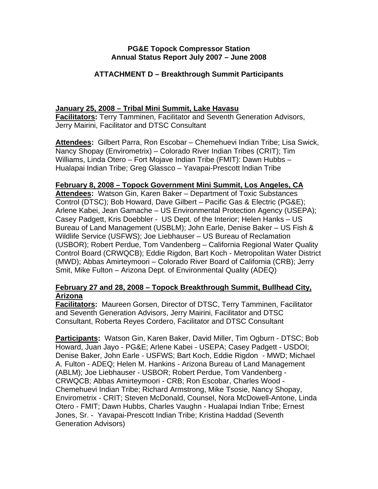# **ATTACHMENT D – Breakthrough Summit Participants**

# **January 25, 2008 – Tribal Mini Summit, Lake Havasu**

**Facilitators:** Terry Tamminen, Facilitator and Seventh Generation Advisors, Jerry Mairini, Facilitator and DTSC Consultant

**Attendees:** Gilbert Parra, Ron Escobar – Chemehuevi Indian Tribe; Lisa Swick, Nancy Shopay (Envirometrix) – Colorado River Indian Tribes (CRIT); Tim Williams, Linda Otero – Fort Mojave Indian Tribe (FMIT): Dawn Hubbs – Hualapai Indian Tribe; Greg Glassco – Yavapai-Prescott Indian Tribe

# **February 8, 2008 – Topock Government Mini Summit, Los Angeles, CA**

**Attendees:** Watson Gin, Karen Baker – Department of Toxic Substances Control (DTSC); Bob Howard, Dave Gilbert – Pacific Gas & Electric (PG&E); Arlene Kabei, Jean Gamache – US Environmental Protection Agency (USEPA); Casey Padgett, Kris Doebbler - US Dept. of the Interior; Helen Hanks – US Bureau of Land Management (USBLM); John Earle, Denise Baker – US Fish & Wildlife Service (USFWS); Joe Liebhauser – US Bureau of Reclamation (USBOR); Robert Perdue, Tom Vandenberg – California Regional Water Quality Control Board (CRWQCB); Eddie Rigdon, Bart Koch - Metropolitan Water District (MWD); Abbas Amirteymoori – Colorado River Board of California (CRB); Jerry Smit, Mike Fulton – Arizona Dept. of Environmental Quality (ADEQ)

# **February 27 and 28, 2008 – Topock Breakthrough Summit, Bullhead City, Arizona**

**Facilitators:** Maureen Gorsen, Director of DTSC, Terry Tamminen, Facilitator and Seventh Generation Advisors, Jerry Mairini, Facilitator and DTSC Consultant, Roberta Reyes Cordero, Facilitator and DTSC Consultant

**Participants:** Watson Gin, Karen Baker, David Miller, Tim Ogburn - DTSC; Bob Howard, Juan Jayo - PG&E; Arlene Kabei - USEPA; Casey Padgett - USDOI; Denise Baker, John Earle - USFWS; Bart Koch, Eddie Rigdon - MWD; Michael A. Fulton - ADEQ; Helen M. Hankins - Arizona Bureau of Land Management (ABLM); Joe Liebhauser - USBOR; Robert Perdue, Tom Vandenberg - CRWQCB; Abbas Amirteymoori - CRB; Ron Escobar, Charles Wood - Chemehuevi Indian Tribe; Richard Armstrong, Mike Tsosie, Nancy Shopay, Envirometrix - CRIT; Steven McDonald, Counsel, Nora McDowell-Antone, Linda Otero - FMIT; Dawn Hubbs, Charles Vaughn - Hualapai Indian Tribe; Ernest Jones, Sr. - Yavapai-Prescott Indian Tribe; Kristina Haddad (Seventh Generation Advisors)